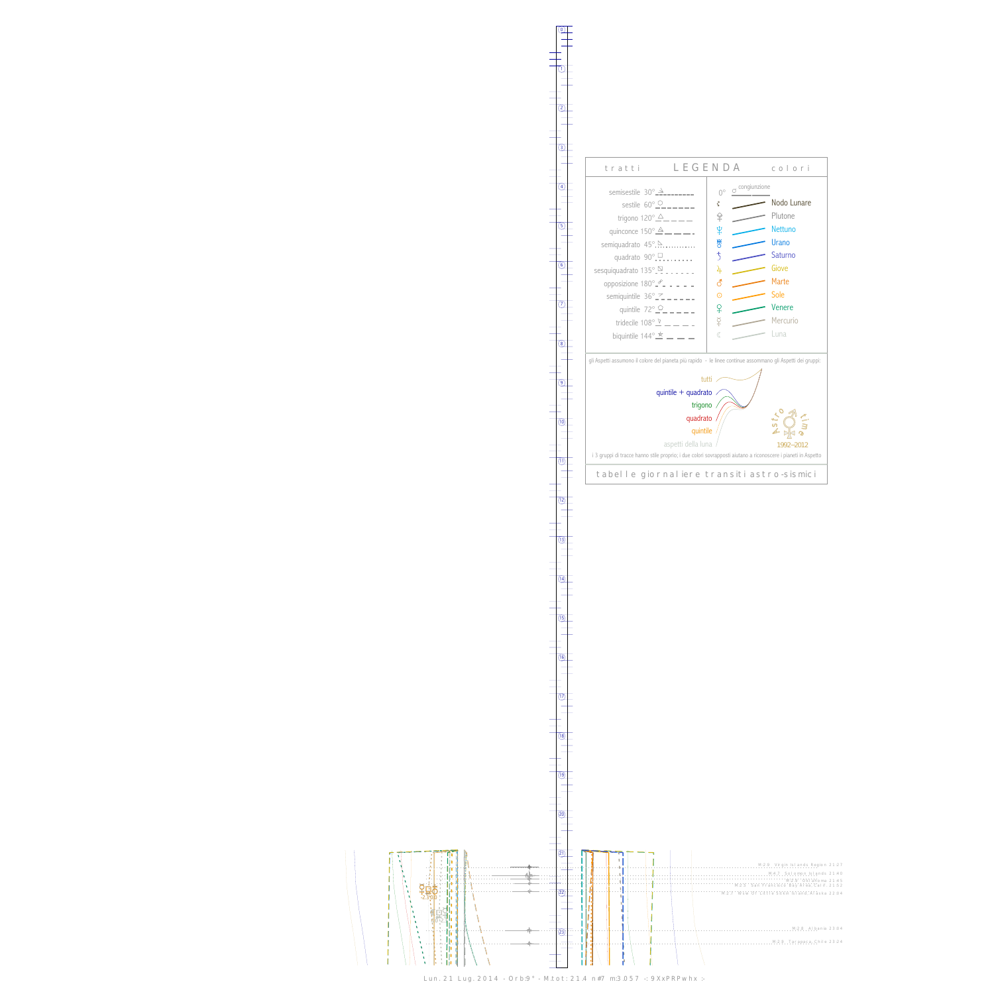##